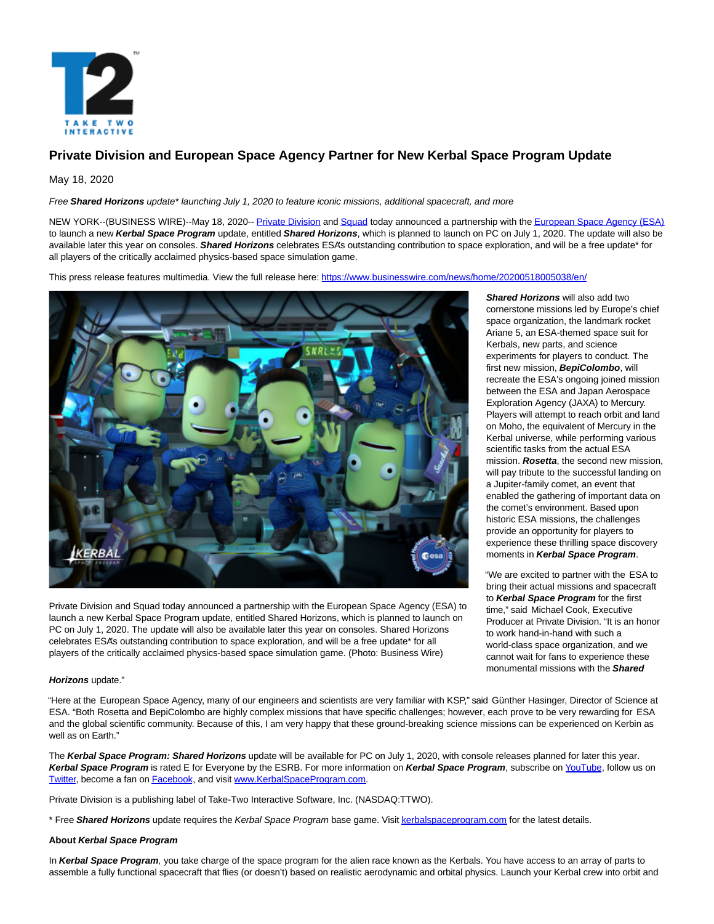

# **Private Division and European Space Agency Partner for New Kerbal Space Program Update**

# May 18, 2020

Free **Shared Horizons** update\* launching July 1, 2020 to feature iconic missions, additional spacecraft, and more

NEW YORK--(BUSINESS WIRE)--May 18, 2020-[- Private Division a](https://cts.businesswire.com/ct/CT?id=smartlink&url=https%3A%2F%2Fwww.privatedivision.com%2F&esheet=52221547&newsitemid=20200518005038&lan=en-US&anchor=Private+Division&index=1&md5=f5bc11004ce96a417ba96807f3965c49)n[d Squad t](https://cts.businesswire.com/ct/CT?id=smartlink&url=http%3A%2F%2Fsquad.com.mx%2F&esheet=52221547&newsitemid=20200518005038&lan=en-US&anchor=Squad&index=2&md5=a624cc2efecbae1296be095bcaf6cb67)oday announced a partnership with th[e European Space Agency \(ESA\)](https://cts.businesswire.com/ct/CT?id=smartlink&url=https%3A%2F%2Fwww.esa.int%2F&esheet=52221547&newsitemid=20200518005038&lan=en-US&anchor=European+Space+Agency+%28ESA%29&index=3&md5=592d947770defcc50cb7da75cf93e0e2) to launch a new **Kerbal Space Program** update, entitled **Shared Horizons**, which is planned to launch on PC on July 1, 2020. The update will also be available later this year on consoles. **Shared Horizons** celebrates ESA's outstanding contribution to space exploration, and will be a free update\* for all players of the critically acclaimed physics-based space simulation game.

This press release features multimedia. View the full release here:<https://www.businesswire.com/news/home/20200518005038/en/>



Private Division and Squad today announced a partnership with the European Space Agency (ESA) to launch a new Kerbal Space Program update, entitled Shared Horizons, which is planned to launch on PC on July 1, 2020. The update will also be available later this year on consoles. Shared Horizons celebrates ESA's outstanding contribution to space exploration, and will be a free update\* for all players of the critically acclaimed physics-based space simulation game. (Photo: Business Wire)

**Horizons** update."

"Here at the European Space Agency, many of our engineers and scientists are very familiar with KSP," said Günther Hasinger, Director of Science at ESA. "Both Rosetta and BepiColombo are highly complex missions that have specific challenges; however, each prove to be very rewarding for ESA and the global scientific community. Because of this, I am very happy that these ground-breaking science missions can be experienced on Kerbin as well as on Earth."

The **Kerbal Space Program: Shared Horizons** update will be available for PC on July 1, 2020, with console releases planned for later this year. **Kerbal Space Program** is rated E for Everyone by the ESRB. For more information on **Kerbal Space Program**, subscribe on [YouTube,](https://cts.businesswire.com/ct/CT?id=smartlink&url=https%3A%2F%2Fwww.youtube.com%2Fkerbalspaceprogramofficial&esheet=52221547&newsitemid=20200518005038&lan=en-US&anchor=YouTube&index=4&md5=4d0e3709b9fc5b55be745f2e1fa17b70) follow us on [Twitter,](https://cts.businesswire.com/ct/CT?id=smartlink&url=https%3A%2F%2Ftwitter.com%2FKerbalSpaceP&esheet=52221547&newsitemid=20200518005038&lan=en-US&anchor=Twitter&index=5&md5=12bfa09d6aef3bf10b5d59d7a9be7529) become a fan o[n Facebook,](https://cts.businesswire.com/ct/CT?id=smartlink&url=https%3A%2F%2Fwww.facebook.com%2Fkerbalspaceprogram%2F&esheet=52221547&newsitemid=20200518005038&lan=en-US&anchor=Facebook&index=6&md5=98d42dd47370af35dd4c0012c197a5e6) and visit [www.KerbalSpaceProgram.com.](https://cts.businesswire.com/ct/CT?id=smartlink&url=http%3A%2F%2Fwww.kerbalspaceprogram.com%2F&esheet=52221547&newsitemid=20200518005038&lan=en-US&anchor=www.KerbalSpaceProgram.com&index=7&md5=048e5ecda20e061f60a8a66bcfd034e8)

Private Division is a publishing label of Take-Two Interactive Software, Inc. (NASDAQ:TTWO).

\* Free **Shared Horizons** update requires the Kerbal Space Program base game. Visi[t kerbalspaceprogram.com f](https://cts.businesswire.com/ct/CT?id=smartlink&url=https%3A%2F%2Fwww.kerbalspaceprogram.com%2F&esheet=52221547&newsitemid=20200518005038&lan=en-US&anchor=kerbalspaceprogram.com&index=8&md5=5d5166dc029e6663cdad34b5d9f83465)or the latest details.

### **About Kerbal Space Program**

In Kerbal Space Program, you take charge of the space program for the alien race known as the Kerbals. You have access to an array of parts to assemble a fully functional spacecraft that flies (or doesn't) based on realistic aerodynamic and orbital physics. Launch your Kerbal crew into orbit and

**Shared Horizons** will also add two cornerstone missions led by Europe's chief space organization, the landmark rocket Ariane 5, an ESA-themed space suit for Kerbals, new parts, and science experiments for players to conduct. The first new mission, **BepiColombo**, will recreate the ESA's ongoing joined mission between the ESA and Japan Aerospace Exploration Agency (JAXA) to Mercury. Players will attempt to reach orbit and land on Moho, the equivalent of Mercury in the Kerbal universe, while performing various scientific tasks from the actual ESA mission. **Rosetta**, the second new mission, will pay tribute to the successful landing on a Jupiter-family comet, an event that enabled the gathering of important data on the comet's environment. Based upon historic ESA missions, the challenges provide an opportunity for players to experience these thrilling space discovery moments in **Kerbal Space Program**.

"We are excited to partner with the ESA to bring their actual missions and spacecraft to **Kerbal Space Program** for the first time," said Michael Cook, Executive Producer at Private Division. "It is an honor to work hand-in-hand with such a world-class space organization, and we cannot wait for fans to experience these monumental missions with the **Shared**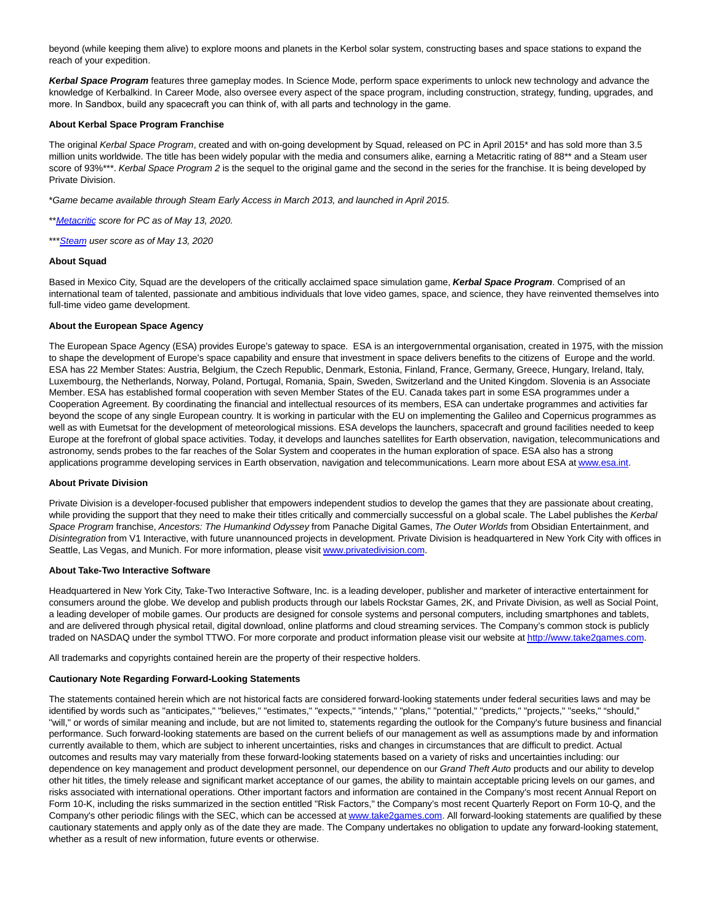beyond (while keeping them alive) to explore moons and planets in the Kerbol solar system, constructing bases and space stations to expand the reach of your expedition.

**Kerbal Space Program** features three gameplay modes. In Science Mode, perform space experiments to unlock new technology and advance the knowledge of Kerbalkind. In Career Mode, also oversee every aspect of the space program, including construction, strategy, funding, upgrades, and more. In Sandbox, build any spacecraft you can think of, with all parts and technology in the game. 

### **About Kerbal Space Program Franchise**

The original Kerbal Space Program, created and with on-going development by Squad, released on PC in April 2015<sup>\*</sup> and has sold more than 3.5 million units worldwide. The title has been widely popular with the media and consumers alike, earning a Metacritic rating of 88\*\* and a Steam user score of 93%\*\*\*. Kerbal Space Program 2 is the sequel to the original game and the second in the series for the franchise. It is being developed by Private Division.

\*Game became available through Steam Early Access in March 2013, and launched in April 2015.

\*\* [Metacritic s](https://cts.businesswire.com/ct/CT?id=smartlink&url=http%3A%2F%2Fwww.metacritic.com%2Fgame%2Fpc%2Fkerbal-space-program&esheet=52221547&newsitemid=20200518005038&lan=en-US&anchor=Metacritic&index=9&md5=2ef2419e9dd624b371bb6c22b4cd2a04)core for PC as of May 13, 2020.

\*\*\* [Steam u](https://cts.businesswire.com/ct/CT?id=smartlink&url=http%3A%2F%2Fstore.steampowered.com%2Fapp%2F220200%2F&esheet=52221547&newsitemid=20200518005038&lan=en-US&anchor=Steam&index=10&md5=fd9ed47a6ec786cc0227c0003d5039af)ser score as of May 13, 2020

### **About Squad**

Based in Mexico City, Squad are the developers of the critically acclaimed space simulation game, **Kerbal Space Program**. Comprised of an international team of talented, passionate and ambitious individuals that love video games, space, and science, they have reinvented themselves into full-time video game development.

### **About the European Space Agency**

The European Space Agency (ESA) provides Europe's gateway to space. ESA is an intergovernmental organisation, created in 1975, with the mission to shape the development of Europe's space capability and ensure that investment in space delivers benefits to the citizens of Europe and the world. ESA has 22 Member States: Austria, Belgium, the Czech Republic, Denmark, Estonia, Finland, France, Germany, Greece, Hungary, Ireland, Italy, Luxembourg, the Netherlands, Norway, Poland, Portugal, Romania, Spain, Sweden, Switzerland and the United Kingdom. Slovenia is an Associate Member. ESA has established formal cooperation with seven Member States of the EU. Canada takes part in some ESA programmes under a Cooperation Agreement. By coordinating the financial and intellectual resources of its members, ESA can undertake programmes and activities far beyond the scope of any single European country. It is working in particular with the EU on implementing the Galileo and Copernicus programmes as well as with Eumetsat for the development of meteorological missions. ESA develops the launchers, spacecraft and ground facilities needed to keep Europe at the forefront of global space activities. Today, it develops and launches satellites for Earth observation, navigation, telecommunications and astronomy, sends probes to the far reaches of the Solar System and cooperates in the human exploration of space. ESA also has a strong applications programme developing services in Earth observation, navigation and telecommunications. Learn more about ESA a[t www.esa.int.](https://cts.businesswire.com/ct/CT?id=smartlink&url=https%3A%2F%2Furldefense.proofpoint.com%2Fv2%2Furl%3Fu%3Dhttp-3A__www.esa.int_%26d%3DDwMFAw%26c%3DRKDswobrOGdp5vDCbl5XjxW8HqrsRSr80dGTvu3rE9Q%26r%3DeJlhp23XwcHMt2IduQSwu6_3zqOm0cQv4oxWxwPcpbwg7836nLWYtoC5uLnY0HPC%26m%3DOirYY3FRxObjslaZLfSr59NvjHDOOvDW7pLl4rSfvTg%26s%3Dxcr_VrnDez9mpBiAod34cZrYs-YmMVrJ0Kt168COmLs%26e%3D&esheet=52221547&newsitemid=20200518005038&lan=en-US&anchor=www.esa.int&index=11&md5=43defee4a4b089b50f7b3fdb3b609b99)

#### **About Private Division**

Private Division is a developer-focused publisher that empowers independent studios to develop the games that they are passionate about creating, while providing the support that they need to make their titles critically and commercially successful on a global scale. The Label publishes the Kerbal Space Program franchise, Ancestors: The Humankind Odyssey from Panache Digital Games, The Outer Worlds from Obsidian Entertainment, and Disintegration from V1 Interactive, with future unannounced projects in development. Private Division is headquartered in New York City with offices in Seattle, Las Vegas, and Munich. For more information, please visi[t www.privatedivision.com.](https://cts.businesswire.com/ct/CT?id=smartlink&url=http%3A%2F%2Fwww.privatedivision.com&esheet=52221547&newsitemid=20200518005038&lan=en-US&anchor=www.privatedivision.com&index=12&md5=db59e66d68b79faa704baf700e8fb1b1)

## **About Take-Two Interactive Software**

Headquartered in New York City, Take-Two Interactive Software, Inc. is a leading developer, publisher and marketer of interactive entertainment for consumers around the globe. We develop and publish products through our labels Rockstar Games, 2K, and Private Division, as well as Social Point, a leading developer of mobile games. Our products are designed for console systems and personal computers, including smartphones and tablets, and are delivered through physical retail, digital download, online platforms and cloud streaming services. The Company's common stock is publicly traded on NASDAQ under the symbol TTWO. For more corporate and product information please visit our website a[t http://www.take2games.com.](https://cts.businesswire.com/ct/CT?id=smartlink&url=http%3A%2F%2Fwww.take2games.com&esheet=52221547&newsitemid=20200518005038&lan=en-US&anchor=http%3A%2F%2Fwww.take2games.com&index=13&md5=de30925a187cc7095c48fa7ca70c20e4)

All trademarks and copyrights contained herein are the property of their respective holders.

#### **Cautionary Note Regarding Forward-Looking Statements**

The statements contained herein which are not historical facts are considered forward-looking statements under federal securities laws and may be identified by words such as "anticipates," "believes," "estimates," "expects," "intends," "plans," "potential," "predicts," "projects," "seeks," "should," "will," or words of similar meaning and include, but are not limited to, statements regarding the outlook for the Company's future business and financial performance. Such forward-looking statements are based on the current beliefs of our management as well as assumptions made by and information currently available to them, which are subject to inherent uncertainties, risks and changes in circumstances that are difficult to predict. Actual outcomes and results may vary materially from these forward-looking statements based on a variety of risks and uncertainties including: our dependence on key management and product development personnel, our dependence on our Grand Theft Auto products and our ability to develop other hit titles, the timely release and significant market acceptance of our games, the ability to maintain acceptable pricing levels on our games, and risks associated with international operations. Other important factors and information are contained in the Company's most recent Annual Report on Form 10-K, including the risks summarized in the section entitled "Risk Factors," the Company's most recent Quarterly Report on Form 10-Q, and the Company's other periodic filings with the SEC, which can be accessed a[t www.take2games.com.](https://cts.businesswire.com/ct/CT?id=smartlink&url=http%3A%2F%2Fwww.take2games.com&esheet=52221547&newsitemid=20200518005038&lan=en-US&anchor=www.take2games.com&index=14&md5=ba5f4dca5694ca8ccfd2af6c33b1c04b) All forward-looking statements are qualified by these cautionary statements and apply only as of the date they are made. The Company undertakes no obligation to update any forward-looking statement, whether as a result of new information, future events or otherwise.